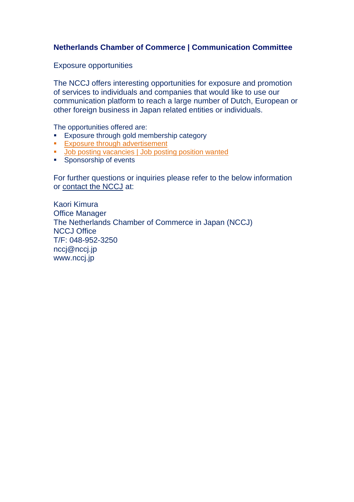## **Netherlands Chamber of Commerce | Communication Committee**

Exposure opportunities

The NCCJ offers interesting opportunities for exposure and promotion of services to individuals and companies that would like to use our communication platform to reach a large number of Dutch, European or other foreign business in Japan related entities or individuals.

The opportunities offered are:

- Exposure through gold membership category
- **[Exposure through advertisement](#page-2-0)**
- **[Job posting vacancies | Job posting position wanted](#page-1-0)**
- **Sponsorship of events**

For further questions or inquiries please refer to the below information or [contact the NCCJ](mailto:nccj@nccj.jp) at:

Kaori Kimura Office Manager The Netherlands Chamber of Commerce in Japan (NCCJ) NCCJ Office T/F: 048-952-3250 nccj@nccj.jp [www.nccj.jp](http://www.nccj.jp/)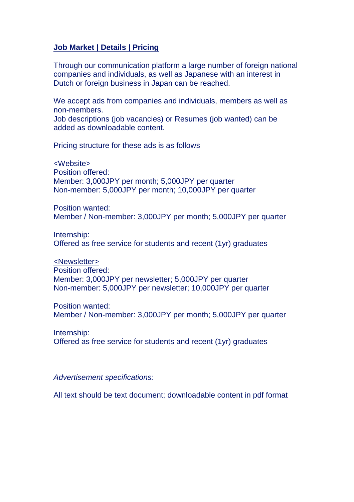### <span id="page-1-0"></span>**Job Market | Details | Pricing**

Through our communication platform a large number of foreign national companies and individuals, as well as Japanese with an interest in Dutch or foreign business in Japan can be reached.

We accept ads from companies and individuals, members as well as non-members.

Job descriptions (job vacancies) or Resumes (job wanted) can be added as downloadable content.

Pricing structure for these ads is as follows

<Website> Position offered: Member: 3,000JPY per month; 5,000JPY per quarter Non-member: 5,000JPY per month; 10,000JPY per quarter

Position wanted: Member / Non-member: 3,000JPY per month; 5,000JPY per quarter

Internship: Offered as free service for students and recent (1yr) graduates

<Newsletter> Position offered: Member: 3,000JPY per newsletter; 5,000JPY per quarter Non-member: 5,000JPY per newsletter; 10,000JPY per quarter

Position wanted: Member / Non-member: 3,000JPY per month; 5,000JPY per quarter

Internship: Offered as free service for students and recent (1yr) graduates

*Advertisement specifications:*

All text should be text document; downloadable content in pdf format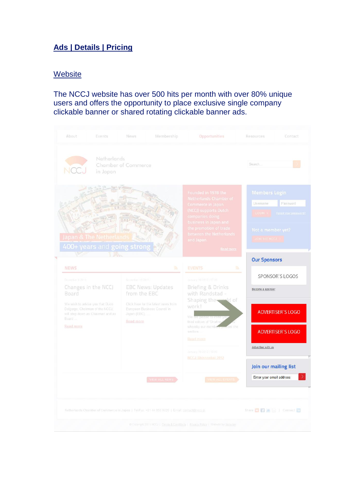# <span id="page-2-0"></span>**Ads | Details | Pricing**

### **Website**

## The NCCJ website has over 500 hits per month with over 80% unique users and offers the opportunity to place exclusive single company clickable banner or shared rotating clickable banner ads.

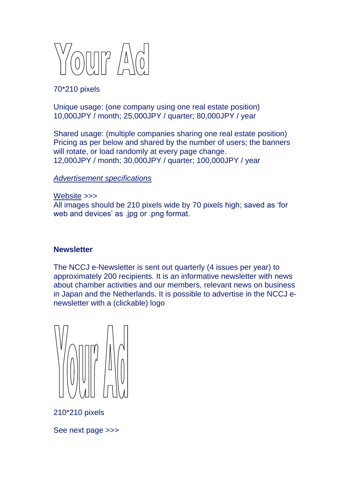

70\*210 pixels

Unique usage: (one company using one real estate position) 10,000JPY / month; 25,000JPY / quarter; 80,000JPY / year

Shared usage: (multiple companies sharing one real estate position) Pricing as per below and shared by the number of users; the banners will rotate, or load randomly at every page change. 12,000JPY / month; 30,000JPY / quarter; 100,000JPY / year

#### *Advertisement specifications*

Website >>> All images should be 210 pixels wide by 70 pixels high; saved as 'for web and devices' as .jpg or .png format.

#### **Newsletter**

The NCCJ e-Newsletter is sent out quarterly (4 issues per year) to approximately 200 recipients. It is an informative newsletter with news about chamber activities and our members, relevant news on business in Japan and the Netherlands. It is possible to advertise in the NCCJ enewsletter with a (clickable) logo



210\*210 pixels

See next page >>>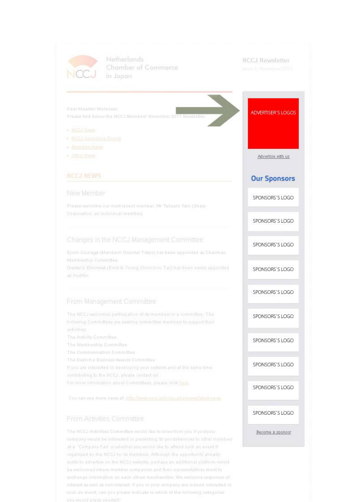

Netherlands Chamber of Commerce in Japan

#### **NCCJ Newsletter**

ADVERTISER'S LOGOS

Advertise with us

**Our Sponsors** 

SPONSORS'S LOGO

SPONSORS'S LOGO

SPONSORS'S LOGO

SPONSORS'S LOGO

SPONSORS'S LOGO

SPONSORS'S LOGO

SPONSORS'S LOGO

SPONSORS'S LOGO

SPONSORS'S LOGO

SPONSORS'S LOGO

Become a sponsor

Dear Maarten Molenaar, Please find below the NCCJ Members' November 20

- » NCCJ NAME
- NCCJ Ubcoming Events
- Members News
- $+$  Other Name

#### New Member

Please welcome our most recent member, Mr Takashi Tani (Sharp Corporation, an individual member).

#### Changes in the NCCJ Management Committee

Bjorn Courage (Mandarin Oriental Tokyo) has been appointed as Chairman Membership Committee.

Diederlik Ellemeel (Emst & Young Shinnihon Tax) has been newly appointed as Auditor.

#### From Management Committee

The NCCJ welcomes participation of its members in a committee. The following Committees are seeking committee members to support their activities:

- The Activity Committee
- The Membership Committee
- The Communication Committee:
- The Deshima Business Awards Committee
- It you are interested in developing your network and at the same time
- contributing to the NCCJ, please contact us!
- For more information about Committees, please click here.

You can see more news at: http://www.nccj.ip/index.php/news/latest-news

#### From Activities Committee

The NCCJ Activities Committee would like to know from you if you/your company would be interested in presenting its goodsiselviess to other members at a "Company Fair' or whether you would like to attend such an event if organized by the NCCJ for Its members. Although the opportunity already exists to advertise on the NCCJ website, perhaps an additional platform would be welcomed where member companies and their representatives meet to exchange information on each others merchandise. We welcome responses of interest as well as non-interest. If you or your company are indeed interested in such an event, can you please indicate in which of the following categories you would place yourself.